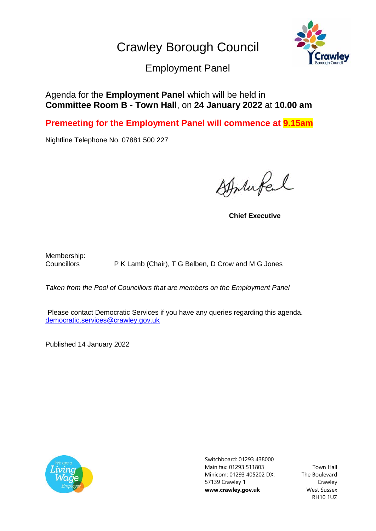Crawley Borough Council



Employment Panel

Agenda for the **Employment Panel** which will be held in **Committee Room B - Town Hall**, on **24 January 2022** at **10.00 am**

**Premeeting for the Employment Panel will commence at 9.15am**

Nightline Telephone No. 07881 500 227

Stortufel

**Chief Executive**

Membership:

Councillors P K Lamb (Chair), T G Belben, D Crow and M G Jones

*Taken from the Pool of Councillors that are members on the Employment Panel*

Please contact Democratic Services if you have any queries regarding this agenda. [democratic.services@crawley.gov.uk](mailto:democratic.services@crawley.gov.uk)

Published 14 January 2022



Switchboard: 01293 438000 Main fax: 01293 511803 Minicom: 01293 405202 DX: 57139 Crawley 1 **www.crawley.gov.uk**

Town Hall The Boulevard Crawley West Sussex RH10 1UZ